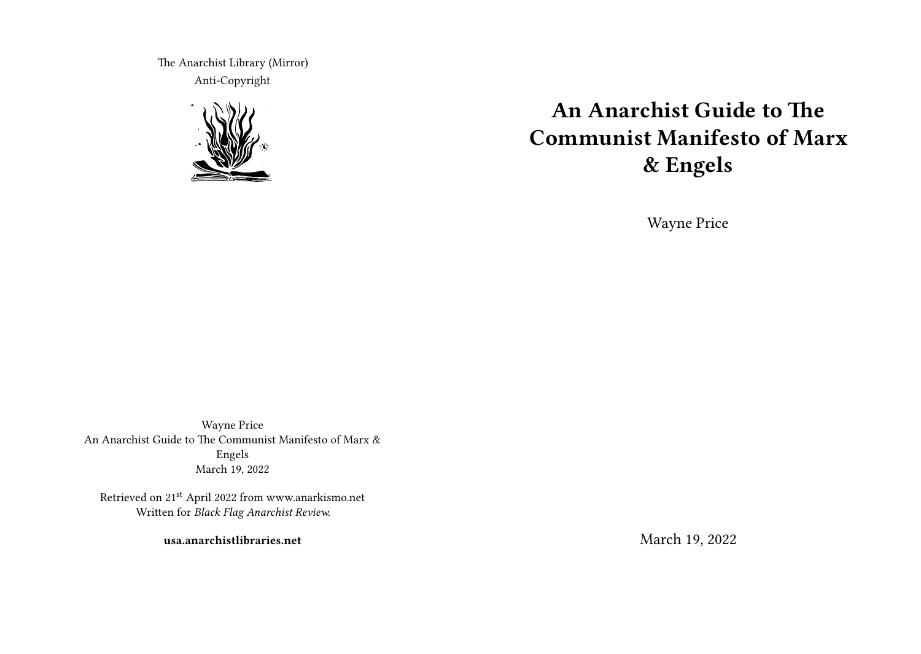The Anarchist Library (Mirror) Anti-Copyright



# **An Anarchist Guide to The Communist Manifesto of Marx & Engels**

Wayne Price

Wayne Price An Anarchist Guide to The Communist Manifesto of Marx & Engels March 19, 2022

Retrieved on 21st April 2022 from www.anarkismo.net Written for *Black Flag Anarchist Review.*

**usa.anarchistlibraries.net**

March 19, 2022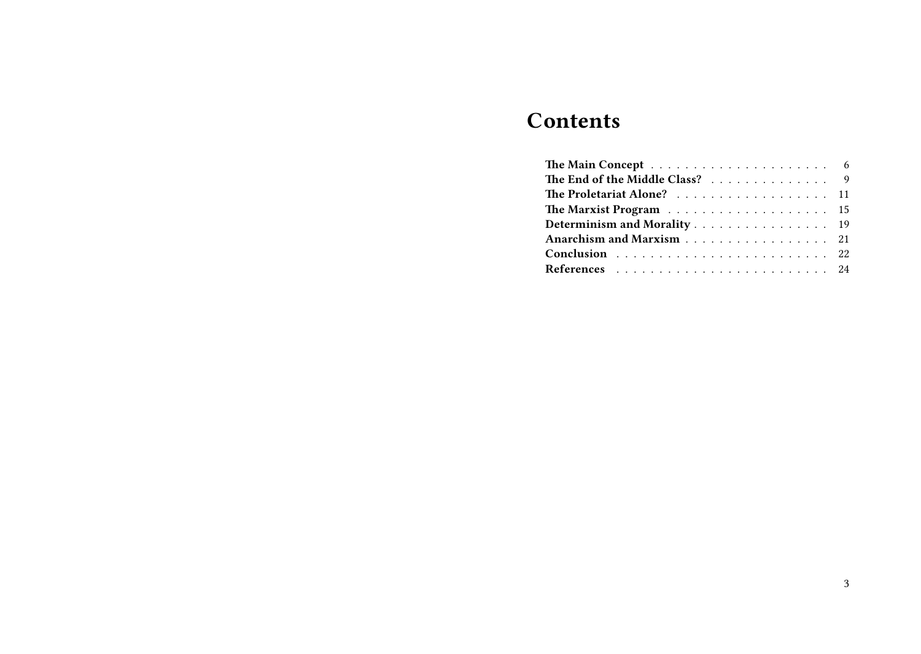# **Contents**

| The End of the Middle Class? 9 |  |  |  |  |  |  |  |  |
|--------------------------------|--|--|--|--|--|--|--|--|
| The Proletariat Alone? 11      |  |  |  |  |  |  |  |  |
|                                |  |  |  |  |  |  |  |  |
| Determinism and Morality 19    |  |  |  |  |  |  |  |  |
| Anarchism and Marxism 21       |  |  |  |  |  |  |  |  |
|                                |  |  |  |  |  |  |  |  |
|                                |  |  |  |  |  |  |  |  |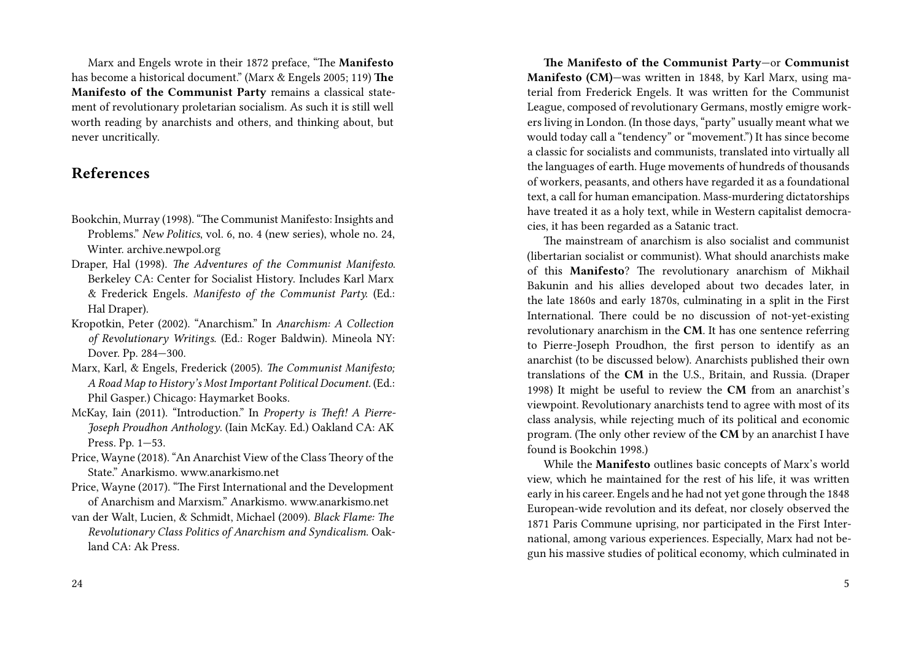Marx and Engels wrote in their 1872 preface, "The **Manifesto** has become a historical document." (Marx & Engels 2005; 119) **The Manifesto of the Communist Party** remains a classical statement of revolutionary proletarian socialism. As such it is still well worth reading by anarchists and others, and thinking about, but never uncritically.

### **References**

- Bookchin, Murray (1998). "The Communist Manifesto: Insights and Problems." *New Politics*, vol. 6, no. 4 (new series), whole no. 24, Winter. archive.newpol.org
- Draper, Hal (1998). *The Adventures of the Communist Manifesto*. Berkeley CA: Center for Socialist History. Includes Karl Marx & Frederick Engels. *Manifesto of the Communist Party.* (Ed.: Hal Draper).
- Kropotkin, Peter (2002). "Anarchism." In *Anarchism: A Collection of Revolutionary Writings*. (Ed.: Roger Baldwin). Mineola NY: Dover. Pp. 284—300.
- Marx, Karl, & Engels, Frederick (2005). *The Communist Manifesto; A Road Map to History's Most Important Political Document.* (Ed.: Phil Gasper.) Chicago: Haymarket Books.
- McKay, Iain (2011). "Introduction." In *Property is Theft! A Pierre-Joseph Proudhon Anthology*. (Iain McKay. Ed.) Oakland CA: AK Press. Pp. 1—53.
- Price, Wayne (2018). "An Anarchist View of the Class Theory of the State." Anarkismo. www.anarkismo.net
- Price, Wayne (2017). "The First International and the Development of Anarchism and Marxism." Anarkismo. www.anarkismo.net
- van der Walt, Lucien, & Schmidt, Michael (2009). *Black Flame: The Revolutionary Class Politics of Anarchism and Syndicalism*. Oakland CA: Ak Press.

**The Manifesto of the Communist Party**—or **Communist Manifesto (CM)**—was written in 1848, by Karl Marx, using material from Frederick Engels. It was written for the Communist League, composed of revolutionary Germans, mostly emigre workers living in London. (In those days, "party" usually meant what we would today call a "tendency" or "movement.") It has since become a classic for socialists and communists, translated into virtually all the languages of earth. Huge movements of hundreds of thousands of workers, peasants, and others have regarded it as a foundational text, a call for human emancipation. Mass-murdering dictatorships have treated it as a holy text, while in Western capitalist democracies, it has been regarded as a Satanic tract.

The mainstream of anarchism is also socialist and communist (libertarian socialist or communist). What should anarchists make of this **Manifesto**? The revolutionary anarchism of Mikhail Bakunin and his allies developed about two decades later, in the late 1860s and early 1870s, culminating in a split in the First International. There could be no discussion of not-yet-existing revolutionary anarchism in the **CM**. It has one sentence referring to Pierre-Joseph Proudhon, the first person to identify as an anarchist (to be discussed below). Anarchists published their own translations of the **CM** in the U.S., Britain, and Russia. (Draper 1998) It might be useful to review the **CM** from an anarchist's viewpoint. Revolutionary anarchists tend to agree with most of its class analysis, while rejecting much of its political and economic program. (The only other review of the **CM** by an anarchist I have found is Bookchin 1998.)

While the **Manifesto** outlines basic concepts of Marx's world view, which he maintained for the rest of his life, it was written early in his career. Engels and he had not yet gone through the 1848 European-wide revolution and its defeat, nor closely observed the 1871 Paris Commune uprising, nor participated in the First International, among various experiences. Especially, Marx had not begun his massive studies of political economy, which culminated in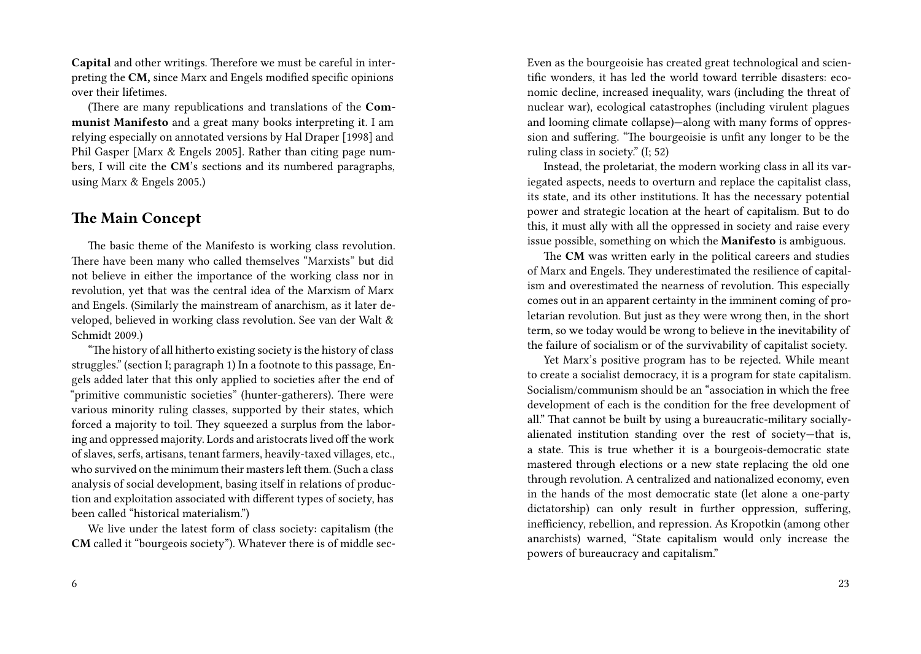**Capital** and other writings. Therefore we must be careful in interpreting the **CM,** since Marx and Engels modified specific opinions over their lifetimes.

(There are many republications and translations of the **Communist Manifesto** and a great many books interpreting it. I am relying especially on annotated versions by Hal Draper [1998] and Phil Gasper [Marx & Engels 2005]. Rather than citing page numbers, I will cite the **CM**'s sections and its numbered paragraphs, using Marx & Engels 2005.)

#### **The Main Concept**

The basic theme of the Manifesto is working class revolution. There have been many who called themselves "Marxists" but did not believe in either the importance of the working class nor in revolution, yet that was the central idea of the Marxism of Marx and Engels. (Similarly the mainstream of anarchism, as it later developed, believed in working class revolution. See van der Walt & Schmidt 2009.)

"The history of all hitherto existing society is the history of class struggles." (section I; paragraph 1) In a footnote to this passage, Engels added later that this only applied to societies after the end of "primitive communistic societies" (hunter-gatherers). There were various minority ruling classes, supported by their states, which forced a majority to toil. They squeezed a surplus from the laboring and oppressed majority. Lords and aristocrats lived off the work of slaves, serfs, artisans, tenant farmers, heavily-taxed villages, etc., who survived on the minimum their masters left them. (Such a class analysis of social development, basing itself in relations of production and exploitation associated with different types of society, has been called "historical materialism.")

We live under the latest form of class society: capitalism (the **CM** called it "bourgeois society"). Whatever there is of middle secEven as the bourgeoisie has created great technological and scientific wonders, it has led the world toward terrible disasters: economic decline, increased inequality, wars (including the threat of nuclear war), ecological catastrophes (including virulent plagues and looming climate collapse)—along with many forms of oppression and suffering. "The bourgeoisie is unfit any longer to be the ruling class in society." (I; 52)

Instead, the proletariat, the modern working class in all its variegated aspects, needs to overturn and replace the capitalist class, its state, and its other institutions. It has the necessary potential power and strategic location at the heart of capitalism. But to do this, it must ally with all the oppressed in society and raise every issue possible, something on which the **Manifesto** is ambiguous.

The **CM** was written early in the political careers and studies of Marx and Engels. They underestimated the resilience of capitalism and overestimated the nearness of revolution. This especially comes out in an apparent certainty in the imminent coming of proletarian revolution. But just as they were wrong then, in the short term, so we today would be wrong to believe in the inevitability of the failure of socialism or of the survivability of capitalist society.

Yet Marx's positive program has to be rejected. While meant to create a socialist democracy, it is a program for state capitalism. Socialism/communism should be an "association in which the free development of each is the condition for the free development of all." That cannot be built by using a bureaucratic-military sociallyalienated institution standing over the rest of society—that is, a state. This is true whether it is a bourgeois-democratic state mastered through elections or a new state replacing the old one through revolution. A centralized and nationalized economy, even in the hands of the most democratic state (let alone a one-party dictatorship) can only result in further oppression, suffering, inefficiency, rebellion, and repression. As Kropotkin (among other anarchists) warned, "State capitalism would only increase the powers of bureaucracy and capitalism."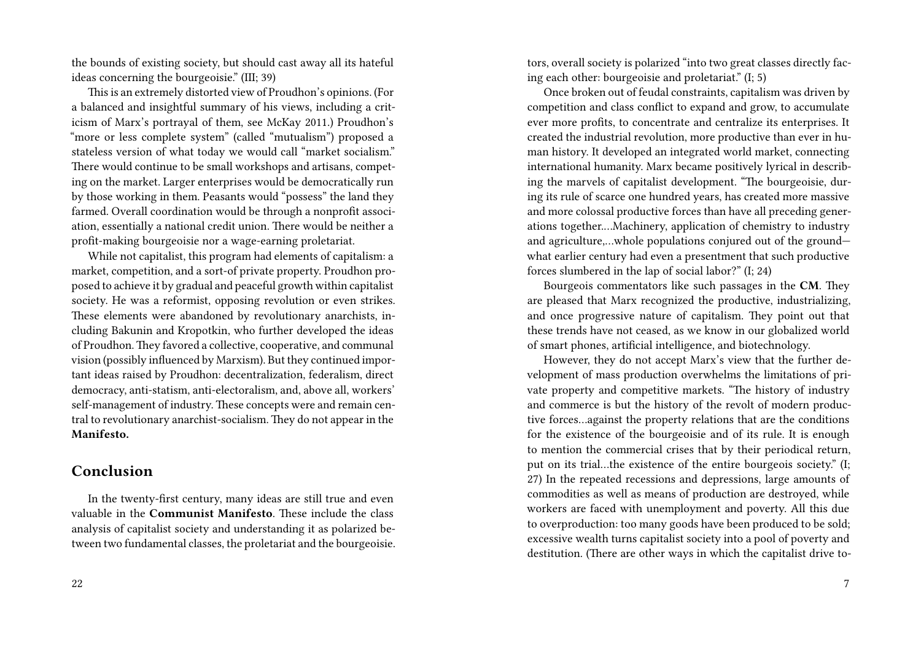the bounds of existing society, but should cast away all its hateful ideas concerning the bourgeoisie." (III; 39)

This is an extremely distorted view of Proudhon's opinions. (For a balanced and insightful summary of his views, including a criticism of Marx's portrayal of them, see McKay 2011.) Proudhon's "more or less complete system" (called "mutualism") proposed a stateless version of what today we would call "market socialism." There would continue to be small workshops and artisans, competing on the market. Larger enterprises would be democratically run by those working in them. Peasants would "possess" the land they farmed. Overall coordination would be through a nonprofit association, essentially a national credit union. There would be neither a profit-making bourgeoisie nor a wage-earning proletariat.

While not capitalist, this program had elements of capitalism: a market, competition, and a sort-of private property. Proudhon proposed to achieve it by gradual and peaceful growth within capitalist society. He was a reformist, opposing revolution or even strikes. These elements were abandoned by revolutionary anarchists, including Bakunin and Kropotkin, who further developed the ideas of Proudhon. They favored a collective, cooperative, and communal vision (possibly influenced by Marxism). But they continued important ideas raised by Proudhon: decentralization, federalism, direct democracy, anti-statism, anti-electoralism, and, above all, workers' self-management of industry. These concepts were and remain central to revolutionary anarchist-socialism. They do not appear in the **Manifesto.**

#### **Conclusion**

In the twenty-first century, many ideas are still true and even valuable in the **Communist Manifesto**. These include the class analysis of capitalist society and understanding it as polarized between two fundamental classes, the proletariat and the bourgeoisie.

tors, overall society is polarized "into two great classes directly facing each other: bourgeoisie and proletariat." (I; 5)

Once broken out of feudal constraints, capitalism was driven by competition and class conflict to expand and grow, to accumulate ever more profits, to concentrate and centralize its enterprises. It created the industrial revolution, more productive than ever in human history. It developed an integrated world market, connecting international humanity. Marx became positively lyrical in describing the marvels of capitalist development. "The bourgeoisie, during its rule of scarce one hundred years, has created more massive and more colossal productive forces than have all preceding generations together.…Machinery, application of chemistry to industry and agriculture,…whole populations conjured out of the ground what earlier century had even a presentment that such productive forces slumbered in the lap of social labor?" (I; 24)

Bourgeois commentators like such passages in the **CM**. They are pleased that Marx recognized the productive, industrializing, and once progressive nature of capitalism. They point out that these trends have not ceased, as we know in our globalized world of smart phones, artificial intelligence, and biotechnology.

However, they do not accept Marx's view that the further development of mass production overwhelms the limitations of private property and competitive markets. "The history of industry and commerce is but the history of the revolt of modern productive forces…against the property relations that are the conditions for the existence of the bourgeoisie and of its rule. It is enough to mention the commercial crises that by their periodical return, put on its trial…the existence of the entire bourgeois society." (I; 27) In the repeated recessions and depressions, large amounts of commodities as well as means of production are destroyed, while workers are faced with unemployment and poverty. All this due to overproduction: too many goods have been produced to be sold; excessive wealth turns capitalist society into a pool of poverty and destitution. (There are other ways in which the capitalist drive to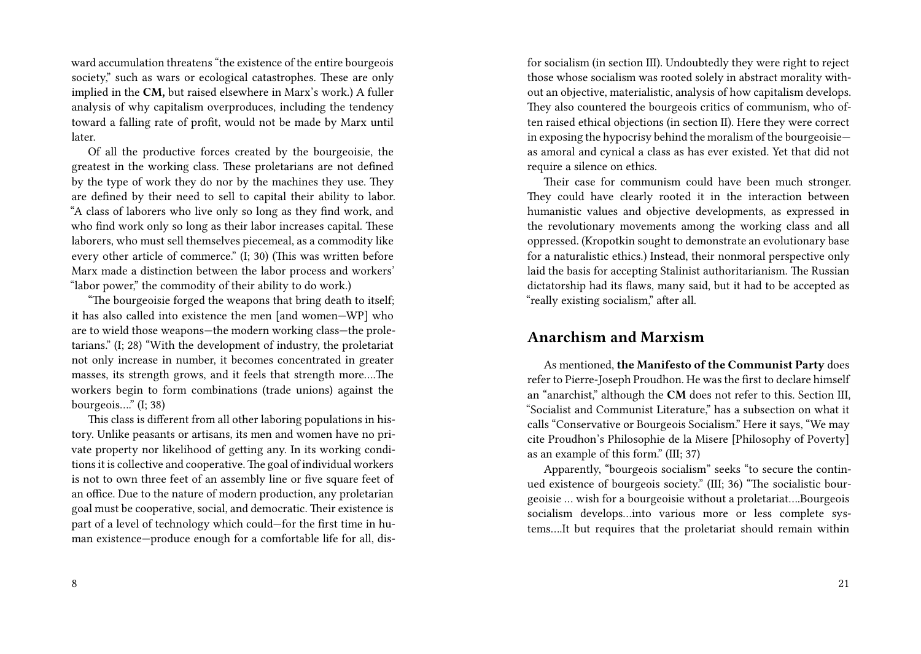ward accumulation threatens "the existence of the entire bourgeois society," such as wars or ecological catastrophes. These are only implied in the **CM,** but raised elsewhere in Marx's work.) A fuller analysis of why capitalism overproduces, including the tendency toward a falling rate of profit, would not be made by Marx until later.

Of all the productive forces created by the bourgeoisie, the greatest in the working class. These proletarians are not defined by the type of work they do nor by the machines they use. They are defined by their need to sell to capital their ability to labor. "A class of laborers who live only so long as they find work, and who find work only so long as their labor increases capital. These laborers, who must sell themselves piecemeal, as a commodity like every other article of commerce." (I; 30) (This was written before Marx made a distinction between the labor process and workers' "labor power," the commodity of their ability to do work.)

"The bourgeoisie forged the weapons that bring death to itself; it has also called into existence the men [and women—WP] who are to wield those weapons—the modern working class—the proletarians." (I; 28) "With the development of industry, the proletariat not only increase in number, it becomes concentrated in greater masses, its strength grows, and it feels that strength more….The workers begin to form combinations (trade unions) against the bourgeois…." (I; 38)

This class is different from all other laboring populations in history. Unlike peasants or artisans, its men and women have no private property nor likelihood of getting any. In its working conditions it is collective and cooperative. The goal of individual workers is not to own three feet of an assembly line or five square feet of an office. Due to the nature of modern production, any proletarian goal must be cooperative, social, and democratic. Their existence is part of a level of technology which could—for the first time in human existence—produce enough for a comfortable life for all, dis-

8

for socialism (in section III). Undoubtedly they were right to reject those whose socialism was rooted solely in abstract morality without an objective, materialistic, analysis of how capitalism develops. They also countered the bourgeois critics of communism, who often raised ethical objections (in section II). Here they were correct in exposing the hypocrisy behind the moralism of the bourgeoisie as amoral and cynical a class as has ever existed. Yet that did not require a silence on ethics.

Their case for communism could have been much stronger. They could have clearly rooted it in the interaction between humanistic values and objective developments, as expressed in the revolutionary movements among the working class and all oppressed. (Kropotkin sought to demonstrate an evolutionary base for a naturalistic ethics.) Instead, their nonmoral perspective only laid the basis for accepting Stalinist authoritarianism. The Russian dictatorship had its flaws, many said, but it had to be accepted as "really existing socialism," after all.

#### **Anarchism and Marxism**

As mentioned, **the Manifesto of the Communist Party** does refer to Pierre-Joseph Proudhon. He was the first to declare himself an "anarchist," although the **CM** does not refer to this. Section III, "Socialist and Communist Literature," has a subsection on what it calls "Conservative or Bourgeois Socialism." Here it says, "We may cite Proudhon's Philosophie de la Misere [Philosophy of Poverty] as an example of this form." (III; 37)

Apparently, "bourgeois socialism" seeks "to secure the continued existence of bourgeois society." (III; 36) "The socialistic bourgeoisie … wish for a bourgeoisie without a proletariat….Bourgeois socialism develops…into various more or less complete systems….It but requires that the proletariat should remain within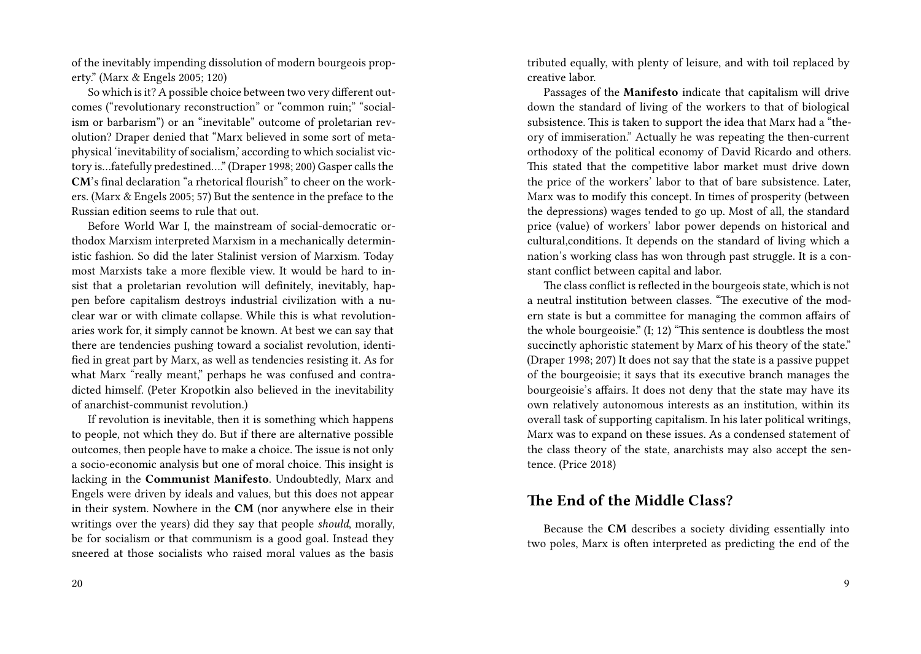of the inevitably impending dissolution of modern bourgeois property." (Marx & Engels 2005; 120)

So which is it? A possible choice between two very different outcomes ("revolutionary reconstruction" or "common ruin;" "socialism or barbarism") or an "inevitable" outcome of proletarian revolution? Draper denied that "Marx believed in some sort of metaphysical 'inevitability of socialism,' according to which socialist victory is…fatefully predestined…." (Draper 1998; 200) Gasper calls the **CM**'s final declaration "a rhetorical flourish" to cheer on the workers. (Marx & Engels 2005; 57) But the sentence in the preface to the Russian edition seems to rule that out.

Before World War I, the mainstream of social-democratic orthodox Marxism interpreted Marxism in a mechanically deterministic fashion. So did the later Stalinist version of Marxism. Today most Marxists take a more flexible view. It would be hard to insist that a proletarian revolution will definitely, inevitably, happen before capitalism destroys industrial civilization with a nuclear war or with climate collapse. While this is what revolutionaries work for, it simply cannot be known. At best we can say that there are tendencies pushing toward a socialist revolution, identified in great part by Marx, as well as tendencies resisting it. As for what Marx "really meant," perhaps he was confused and contradicted himself. (Peter Kropotkin also believed in the inevitability of anarchist-communist revolution.)

If revolution is inevitable, then it is something which happens to people, not which they do. But if there are alternative possible outcomes, then people have to make a choice. The issue is not only a socio-economic analysis but one of moral choice. This insight is lacking in the **Communist Manifesto**. Undoubtedly, Marx and Engels were driven by ideals and values, but this does not appear in their system. Nowhere in the **CM** (nor anywhere else in their writings over the years) did they say that people *should*, morally, be for socialism or that communism is a good goal. Instead they sneered at those socialists who raised moral values as the basis

20

tributed equally, with plenty of leisure, and with toil replaced by creative labor.

Passages of the **Manifesto** indicate that capitalism will drive down the standard of living of the workers to that of biological subsistence. This is taken to support the idea that Marx had a "theory of immiseration." Actually he was repeating the then-current orthodoxy of the political economy of David Ricardo and others. This stated that the competitive labor market must drive down the price of the workers' labor to that of bare subsistence. Later, Marx was to modify this concept. In times of prosperity (between the depressions) wages tended to go up. Most of all, the standard price (value) of workers' labor power depends on historical and cultural,conditions. It depends on the standard of living which a nation's working class has won through past struggle. It is a constant conflict between capital and labor.

The class conflict is reflected in the bourgeois state, which is not a neutral institution between classes. "The executive of the modern state is but a committee for managing the common affairs of the whole bourgeoisie." (I; 12) "This sentence is doubtless the most succinctly aphoristic statement by Marx of his theory of the state." (Draper 1998; 207) It does not say that the state is a passive puppet of the bourgeoisie; it says that its executive branch manages the bourgeoisie's affairs. It does not deny that the state may have its own relatively autonomous interests as an institution, within its overall task of supporting capitalism. In his later political writings, Marx was to expand on these issues. As a condensed statement of the class theory of the state, anarchists may also accept the sentence. (Price 2018)

## **The End of the Middle Class?**

Because the **CM** describes a society dividing essentially into two poles, Marx is often interpreted as predicting the end of the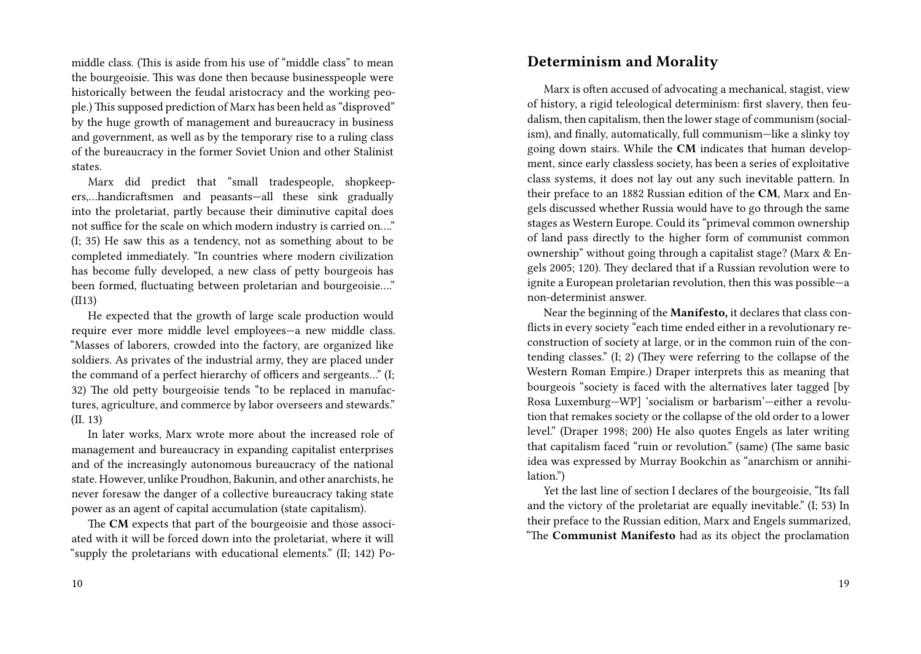middle class. (This is aside from his use of "middle class" to mean the bourgeoisie. This was done then because businesspeople were historically between the feudal aristocracy and the working people.) This supposed prediction of Marx has been held as "disproved" by the huge growth of management and bureaucracy in business and government, as well as by the temporary rise to a ruling class of the bureaucracy in the former Soviet Union and other Stalinist states.

Marx did predict that "small tradespeople, shopkeepers,…handicraftsmen and peasants—all these sink gradually into the proletariat, partly because their diminutive capital does not suffice for the scale on which modern industry is carried on…." (I; 35) He saw this as a tendency, not as something about to be completed immediately. "In countries where modern civilization has become fully developed, a new class of petty bourgeois has been formed, fluctuating between proletarian and bourgeoisie…." (II13)

He expected that the growth of large scale production would require ever more middle level employees—a new middle class. "Masses of laborers, crowded into the factory, are organized like soldiers. As privates of the industrial army, they are placed under the command of a perfect hierarchy of officers and sergeants…" (I; 32) The old petty bourgeoisie tends "to be replaced in manufactures, agriculture, and commerce by labor overseers and stewards." (II. 13)

In later works, Marx wrote more about the increased role of management and bureaucracy in expanding capitalist enterprises and of the increasingly autonomous bureaucracy of the national state. However, unlike Proudhon, Bakunin, and other anarchists, he never foresaw the danger of a collective bureaucracy taking state power as an agent of capital accumulation (state capitalism).

The **CM** expects that part of the bourgeoisie and those associated with it will be forced down into the proletariat, where it will "supply the proletarians with educational elements." (II; 142) Po-

#### **Determinism and Morality**

Marx is often accused of advocating a mechanical, stagist, view of history, a rigid teleological determinism: first slavery, then feudalism, then capitalism, then the lower stage of communism (socialism), and finally, automatically, full communism—like a slinky toy going down stairs. While the **CM** indicates that human development, since early classless society, has been a series of exploitative class systems, it does not lay out any such inevitable pattern. In their preface to an 1882 Russian edition of the **CM**, Marx and Engels discussed whether Russia would have to go through the same stages as Western Europe. Could its "primeval common ownership of land pass directly to the higher form of communist common ownership" without going through a capitalist stage? (Marx & Engels 2005; 120). They declared that if a Russian revolution were to ignite a European proletarian revolution, then this was possible—a non-determinist answer.

Near the beginning of the **Manifesto,** it declares that class conflicts in every society "each time ended either in a revolutionary reconstruction of society at large, or in the common ruin of the contending classes." (I; 2) (They were referring to the collapse of the Western Roman Empire.) Draper interprets this as meaning that bourgeois "society is faced with the alternatives later tagged [by Rosa Luxemburg—WP] 'socialism or barbarism'—either a revolution that remakes society or the collapse of the old order to a lower level." (Draper 1998; 200) He also quotes Engels as later writing that capitalism faced "ruin or revolution." (same) (The same basic idea was expressed by Murray Bookchin as "anarchism or annihilation.")

Yet the last line of section I declares of the bourgeoisie, "Its fall and the victory of the proletariat are equally inevitable." (I; 53) In their preface to the Russian edition, Marx and Engels summarized, "The **Communist Manifesto** had as its object the proclamation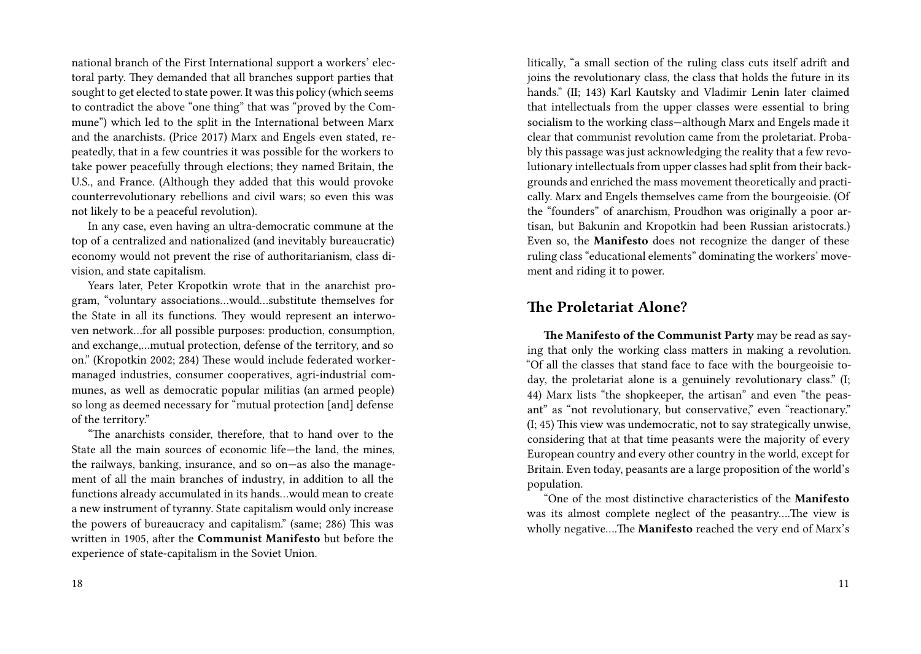national branch of the First International support a workers' electoral party. They demanded that all branches support parties that sought to get elected to state power. It was this policy (which seems to contradict the above "one thing" that was "proved by the Commune") which led to the split in the International between Marx and the anarchists. (Price 2017) Marx and Engels even stated, repeatedly, that in a few countries it was possible for the workers to take power peacefully through elections; they named Britain, the U.S., and France. (Although they added that this would provoke counterrevolutionary rebellions and civil wars; so even this was not likely to be a peaceful revolution).

In any case, even having an ultra-democratic commune at the top of a centralized and nationalized (and inevitably bureaucratic) economy would not prevent the rise of authoritarianism, class division, and state capitalism.

Years later, Peter Kropotkin wrote that in the anarchist program, "voluntary associations…would…substitute themselves for the State in all its functions. They would represent an interwoven network…for all possible purposes: production, consumption, and exchange,…mutual protection, defense of the territory, and so on." (Kropotkin 2002; 284) These would include federated workermanaged industries, consumer cooperatives, agri-industrial communes, as well as democratic popular militias (an armed people) so long as deemed necessary for "mutual protection [and] defense of the territory."

"The anarchists consider, therefore, that to hand over to the State all the main sources of economic life—the land, the mines, the railways, banking, insurance, and so on—as also the management of all the main branches of industry, in addition to all the functions already accumulated in its hands…would mean to create a new instrument of tyranny. State capitalism would only increase the powers of bureaucracy and capitalism." (same; 286) This was written in 1905, after the **Communist Manifesto** but before the experience of state-capitalism in the Soviet Union.

litically, "a small section of the ruling class cuts itself adrift and joins the revolutionary class, the class that holds the future in its hands." (II; 143) Karl Kautsky and Vladimir Lenin later claimed that intellectuals from the upper classes were essential to bring socialism to the working class—although Marx and Engels made it clear that communist revolution came from the proletariat. Probably this passage was just acknowledging the reality that a few revolutionary intellectuals from upper classes had split from their backgrounds and enriched the mass movement theoretically and practically. Marx and Engels themselves came from the bourgeoisie. (Of the "founders" of anarchism, Proudhon was originally a poor artisan, but Bakunin and Kropotkin had been Russian aristocrats.) Even so, the **Manifesto** does not recognize the danger of these ruling class "educational elements" dominating the workers' movement and riding it to power.

#### **The Proletariat Alone?**

**The Manifesto of the Communist Party** may be read as saying that only the working class matters in making a revolution. "Of all the classes that stand face to face with the bourgeoisie today, the proletariat alone is a genuinely revolutionary class." (I; 44) Marx lists "the shopkeeper, the artisan" and even "the peasant" as "not revolutionary, but conservative," even "reactionary." (I; 45) This view was undemocratic, not to say strategically unwise, considering that at that time peasants were the majority of every European country and every other country in the world, except for Britain. Even today, peasants are a large proposition of the world's population.

"One of the most distinctive characteristics of the **Manifesto** was its almost complete neglect of the peasantry….The view is wholly negative….The **Manifesto** reached the very end of Marx's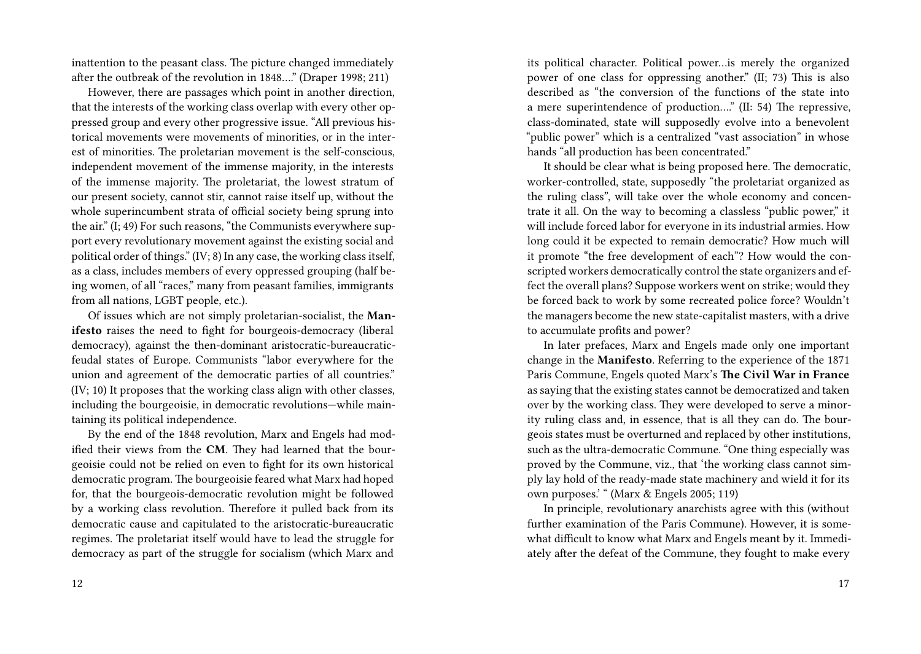inattention to the peasant class. The picture changed immediately after the outbreak of the revolution in 1848…." (Draper 1998; 211)

However, there are passages which point in another direction, that the interests of the working class overlap with every other oppressed group and every other progressive issue. "All previous historical movements were movements of minorities, or in the interest of minorities. The proletarian movement is the self-conscious, independent movement of the immense majority, in the interests of the immense majority. The proletariat, the lowest stratum of our present society, cannot stir, cannot raise itself up, without the whole superincumbent strata of official society being sprung into the air." (I; 49) For such reasons, "the Communists everywhere support every revolutionary movement against the existing social and political order of things." (IV; 8) In any case, the working class itself, as a class, includes members of every oppressed grouping (half being women, of all "races," many from peasant families, immigrants from all nations, LGBT people, etc.).

Of issues which are not simply proletarian-socialist, the **Manifesto** raises the need to fight for bourgeois-democracy (liberal democracy), against the then-dominant aristocratic-bureaucraticfeudal states of Europe. Communists "labor everywhere for the union and agreement of the democratic parties of all countries." (IV; 10) It proposes that the working class align with other classes, including the bourgeoisie, in democratic revolutions—while maintaining its political independence.

By the end of the 1848 revolution, Marx and Engels had modified their views from the **CM**. They had learned that the bourgeoisie could not be relied on even to fight for its own historical democratic program. The bourgeoisie feared what Marx had hoped for, that the bourgeois-democratic revolution might be followed by a working class revolution. Therefore it pulled back from its democratic cause and capitulated to the aristocratic-bureaucratic regimes. The proletariat itself would have to lead the struggle for democracy as part of the struggle for socialism (which Marx and

its political character. Political power…is merely the organized power of one class for oppressing another." (II; 73) This is also described as "the conversion of the functions of the state into a mere superintendence of production…." (II: 54) The repressive, class-dominated, state will supposedly evolve into a benevolent "public power" which is a centralized "vast association" in whose hands "all production has been concentrated."

It should be clear what is being proposed here. The democratic, worker-controlled, state, supposedly "the proletariat organized as the ruling class", will take over the whole economy and concentrate it all. On the way to becoming a classless "public power," it will include forced labor for everyone in its industrial armies. How long could it be expected to remain democratic? How much will it promote "the free development of each"? How would the conscripted workers democratically control the state organizers and effect the overall plans? Suppose workers went on strike; would they be forced back to work by some recreated police force? Wouldn't the managers become the new state-capitalist masters, with a drive to accumulate profits and power?

In later prefaces, Marx and Engels made only one important change in the **Manifesto**. Referring to the experience of the 1871 Paris Commune, Engels quoted Marx's **The Civil War in France** as saying that the existing states cannot be democratized and taken over by the working class. They were developed to serve a minority ruling class and, in essence, that is all they can do. The bourgeois states must be overturned and replaced by other institutions, such as the ultra-democratic Commune. "One thing especially was proved by the Commune, viz., that 'the working class cannot simply lay hold of the ready-made state machinery and wield it for its own purposes.' " (Marx & Engels 2005; 119)

In principle, revolutionary anarchists agree with this (without further examination of the Paris Commune). However, it is somewhat difficult to know what Marx and Engels meant by it. Immediately after the defeat of the Commune, they fought to make every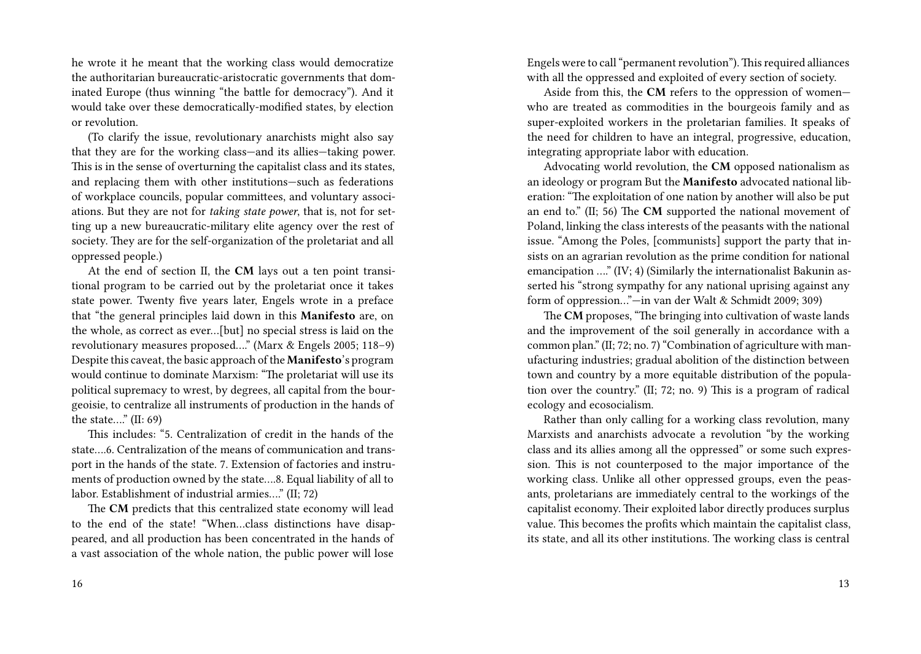he wrote it he meant that the working class would democratize the authoritarian bureaucratic-aristocratic governments that dominated Europe (thus winning "the battle for democracy"). And it would take over these democratically-modified states, by election or revolution.

(To clarify the issue, revolutionary anarchists might also say that they are for the working class—and its allies—taking power. This is in the sense of overturning the capitalist class and its states, and replacing them with other institutions—such as federations of workplace councils, popular committees, and voluntary associations. But they are not for *taking state power*, that is, not for setting up a new bureaucratic-military elite agency over the rest of society. They are for the self-organization of the proletariat and all oppressed people.)

At the end of section II, the **CM** lays out a ten point transitional program to be carried out by the proletariat once it takes state power. Twenty five years later, Engels wrote in a preface that "the general principles laid down in this **Manifesto** are, on the whole, as correct as ever…[but] no special stress is laid on the revolutionary measures proposed…." (Marx & Engels 2005; 118–9) Despite this caveat, the basic approach of the **Manifesto**'s program would continue to dominate Marxism: "The proletariat will use its political supremacy to wrest, by degrees, all capital from the bourgeoisie, to centralize all instruments of production in the hands of the state…." (II: 69)

This includes: "5. Centralization of credit in the hands of the state….6. Centralization of the means of communication and transport in the hands of the state. 7. Extension of factories and instruments of production owned by the state….8. Equal liability of all to labor. Establishment of industrial armies…." (II; 72)

The **CM** predicts that this centralized state economy will lead to the end of the state! "When…class distinctions have disappeared, and all production has been concentrated in the hands of a vast association of the whole nation, the public power will lose Engels were to call "permanent revolution").This required alliances with all the oppressed and exploited of every section of society.

Aside from this, the **CM** refers to the oppression of women who are treated as commodities in the bourgeois family and as super-exploited workers in the proletarian families. It speaks of the need for children to have an integral, progressive, education, integrating appropriate labor with education.

Advocating world revolution, the **CM** opposed nationalism as an ideology or program But the **Manifesto** advocated national liberation: "The exploitation of one nation by another will also be put an end to." (II; 56) The **CM** supported the national movement of Poland, linking the class interests of the peasants with the national issue. "Among the Poles, [communists] support the party that insists on an agrarian revolution as the prime condition for national emancipation ...." (IV; 4) (Similarly the internationalist Bakunin asserted his "strong sympathy for any national uprising against any form of oppression…"—in van der Walt & Schmidt 2009; 309)

The **CM** proposes, "The bringing into cultivation of waste lands and the improvement of the soil generally in accordance with a common plan." (II; 72; no. 7) "Combination of agriculture with manufacturing industries; gradual abolition of the distinction between town and country by a more equitable distribution of the population over the country." (II; 72; no. 9) This is a program of radical ecology and ecosocialism.

Rather than only calling for a working class revolution, many Marxists and anarchists advocate a revolution "by the working class and its allies among all the oppressed" or some such expression. This is not counterposed to the major importance of the working class. Unlike all other oppressed groups, even the peasants, proletarians are immediately central to the workings of the capitalist economy. Their exploited labor directly produces surplus value. This becomes the profits which maintain the capitalist class, its state, and all its other institutions. The working class is central